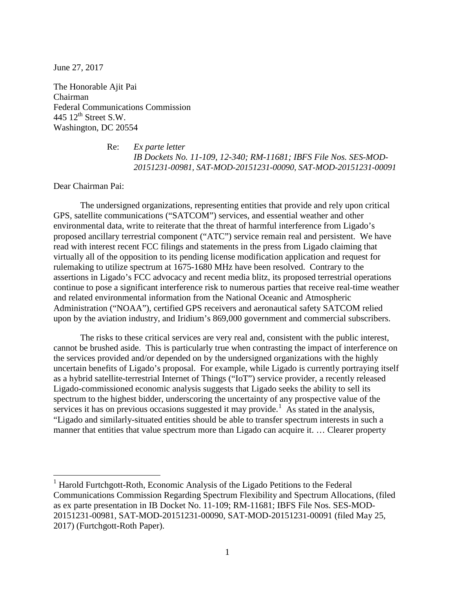June 27, 2017

The Honorable Ajit Pai Chairman Federal Communications Commission 445  $12^{th}$  Street S.W. Washington, DC 20554

> Re: *Ex parte letter IB Dockets No. 11-109, 12-340; RM-11681; IBFS File Nos. SES-MOD-20151231-00981, SAT-MOD-20151231-00090, SAT-MOD-20151231-00091*

Dear Chairman Pai:

The undersigned organizations, representing entities that provide and rely upon critical GPS, satellite communications ("SATCOM") services, and essential weather and other environmental data, write to reiterate that the threat of harmful interference from Ligado's proposed ancillary terrestrial component ("ATC") service remain real and persistent. We have read with interest recent FCC filings and statements in the press from Ligado claiming that virtually all of the opposition to its pending license modification application and request for rulemaking to utilize spectrum at 1675-1680 MHz have been resolved. Contrary to the assertions in Ligado's FCC advocacy and recent media blitz, its proposed terrestrial operations continue to pose a significant interference risk to numerous parties that receive real-time weather and related environmental information from the National Oceanic and Atmospheric Administration ("NOAA"), certified GPS receivers and aeronautical safety SATCOM relied upon by the aviation industry, and Iridium's 869,000 government and commercial subscribers.

The risks to these critical services are very real and, consistent with the public interest, cannot be brushed aside. This is particularly true when contrasting the impact of interference on the services provided and/or depended on by the undersigned organizations with the highly uncertain benefits of Ligado's proposal. For example, while Ligado is currently portraying itself as a hybrid satellite-terrestrial Internet of Things ("IoT") service provider, a recently released Ligado-commissioned economic analysis suggests that Ligado seeks the ability to sell its spectrum to the highest bidder, underscoring the uncertainty of any prospective value of the services it has on previous occasions suggested it may provide.<sup>[1](#page-0-0)</sup> As stated in the analysis, "Ligado and similarly-situated entities should be able to transfer spectrum interests in such a manner that entities that value spectrum more than Ligado can acquire it. ... Clearer property

<span id="page-0-0"></span> $1$  Harold Furtchgott-Roth, Economic Analysis of the Ligado Petitions to the Federal Communications Commission Regarding Spectrum Flexibility and Spectrum Allocations, (filed as ex parte presentation in IB Docket No. 11-109; RM-11681; IBFS File Nos. SES-MOD-20151231-00981, SAT-MOD-20151231-00090, SAT-MOD-20151231-00091 (filed May 25, 2017) (Furtchgott-Roth Paper).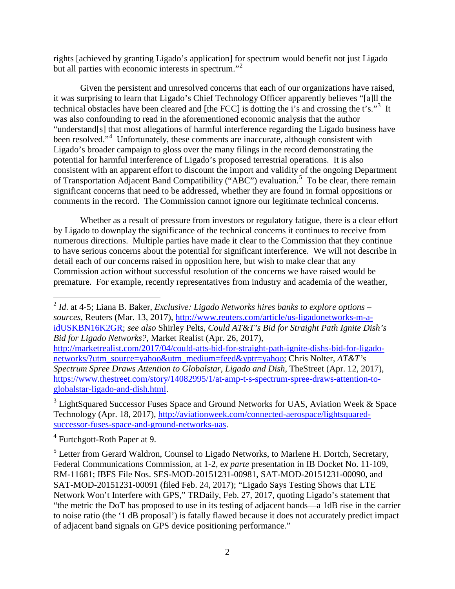rights [achieved by granting Ligado's application] for spectrum would benefit not just Ligado but all parties with economic interests in spectrum."<sup>[2](#page-1-0)</sup>

Given the persistent and unresolved concerns that each of our organizations have raised, it was surprising to learn that Ligado's Chief Technology Officer apparently believes "[a]ll the technical obstacles have been cleared and [the FCC] is dotting the i's and crossing the t's."<sup>[3](#page-1-1)</sup> It was also confounding to read in the aforementioned economic analysis that the author "understand[s] that most allegations of harmful interference regarding the Ligado business have been resolved."<sup>[4](#page-1-2)</sup> Unfortunately, these comments are inaccurate, although consistent with Ligado's broader campaign to gloss over the many filings in the record demonstrating the potential for harmful interference of Ligado's proposed terrestrial operations. It is also consistent with an apparent effort to discount the import and validity of the ongoing Department of Transportation Adjacent Band Compatibility ("ABC") evaluation.<sup>[5](#page-1-3)</sup> To be clear, there remain significant concerns that need to be addressed, whether they are found in formal oppositions or comments in the record. The Commission cannot ignore our legitimate technical concerns.

Whether as a result of pressure from investors or regulatory fatigue, there is a clear effort by Ligado to downplay the significance of the technical concerns it continues to receive from numerous directions. Multiple parties have made it clear to the Commission that they continue to have serious concerns about the potential for significant interference. We will not describe in detail each of our concerns raised in opposition here, but wish to make clear that any Commission action without successful resolution of the concerns we have raised would be premature. For example, recently representatives from industry and academia of the weather,

<span id="page-1-2"></span><sup>4</sup> Furtchgott-Roth Paper at 9.

<span id="page-1-0"></span> <sup>2</sup> *Id*. at 4-5; Liana B. Baker, *Exclusive: Ligado Networks hires banks to explore options – sources*, Reuters (Mar. 13, 2017), [http://www.reuters.com/article/us-ligadonetworks-m-a](http://www.reuters.com/article/us-ligadonetworks-m-a-idUSKBN16K2GR)[idUSKBN16K2GR;](http://www.reuters.com/article/us-ligadonetworks-m-a-idUSKBN16K2GR) *see also* Shirley Pelts, *Could AT&T's Bid for Straight Path Ignite Dish's Bid for Ligado Networks?*, Market Realist (Apr. 26, 2017),

[http://marketrealist.com/2017/04/could-atts-bid-for-straight-path-ignite-dishs-bid-for-ligado](http://marketrealist.com/2017/04/could-atts-bid-for-straight-path-ignite-dishs-bid-for-ligado-networks/?utm_source=yahoo&utm_medium=feed&yptr=yahoo)[networks/?utm\\_source=yahoo&utm\\_medium=feed&yptr=yahoo;](http://marketrealist.com/2017/04/could-atts-bid-for-straight-path-ignite-dishs-bid-for-ligado-networks/?utm_source=yahoo&utm_medium=feed&yptr=yahoo) Chris Nolter, *AT&T's Spectrum Spree Draws Attention to Globalstar, Ligado and Dish*, TheStreet (Apr. 12, 2017), [https://www.thestreet.com/story/14082995/1/at-amp-t-s-spectrum-spree-draws-attention-to](https://www.thestreet.com/story/14082995/1/at-amp-t-s-spectrum-spree-draws-attention-to-globalstar-ligado-and-dish.html)[globalstar-ligado-and-dish.html.](https://www.thestreet.com/story/14082995/1/at-amp-t-s-spectrum-spree-draws-attention-to-globalstar-ligado-and-dish.html)

<span id="page-1-1"></span><sup>&</sup>lt;sup>3</sup> LightSquared Successor Fuses Space and Ground Networks for UAS, Aviation Week & Space Technology (Apr. 18, 2017), [http://aviationweek.com/connected-aerospace/lightsquared](http://aviationweek.com/connected-aerospace/lightsquared-successor-fuses-space-and-ground-networks-uas)[successor-fuses-space-and-ground-networks-uas.](http://aviationweek.com/connected-aerospace/lightsquared-successor-fuses-space-and-ground-networks-uas)

<span id="page-1-3"></span><sup>5</sup> Letter from Gerard Waldron, Counsel to Ligado Networks, to Marlene H. Dortch, Secretary, Federal Communications Commission, at 1-2, e*x parte* presentation in IB Docket No. 11-109, RM-11681; IBFS File Nos. SES-MOD-20151231-00981, SAT-MOD-20151231-00090, and SAT-MOD-20151231-00091 (filed Feb. 24, 2017); "Ligado Says Testing Shows that LTE Network Won't Interfere with GPS," TRDaily, Feb. 27, 2017, quoting Ligado's statement that "the metric the DoT has proposed to use in its testing of adjacent bands—a 1dB rise in the carrier to noise ratio (the '1 dB proposal') is fatally flawed because it does not accurately predict impact of adjacent band signals on GPS device positioning performance."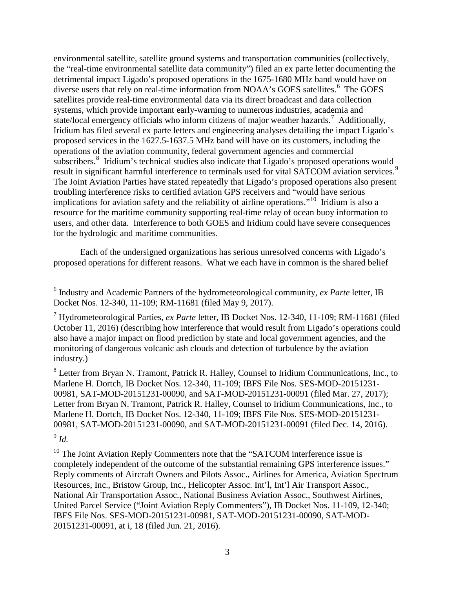environmental satellite, satellite ground systems and transportation communities (collectively, the "real-time environmental satellite data community") filed an ex parte letter documenting the detrimental impact Ligado's proposed operations in the 1675-1680 MHz band would have on diverse users that rely on real-time information from NOAA's GOES satellites.<sup>[6](#page-2-0)</sup> The GOES satellites provide real-time environmental data via its direct broadcast and data collection systems, which provide important early-warning to numerous industries, academia and state/local emergency officials who inform citizens of major weather hazards.<sup>[7](#page-2-1)</sup> Additionally, Iridium has filed several ex parte letters and engineering analyses detailing the impact Ligado's proposed services in the 1627.5-1637.5 MHz band will have on its customers, including the operations of the aviation community, federal government agencies and commercial subscribers.<sup>[8](#page-2-2)</sup> Iridium's technical studies also indicate that Ligado's proposed operations would result in significant harmful interference to terminals used for vital SATCOM aviation services.<sup>[9](#page-2-3)</sup> The Joint Aviation Parties have stated repeatedly that Ligado's proposed operations also present troubling interference risks to certified aviation GPS receivers and "would have serious implications for aviation safety and the reliability of airline operations."<sup>10</sup> Iridium is also a resource for the maritime community supporting real-time relay of ocean buoy information to users, and other data. Interference to both GOES and Iridium could have severe consequences for the hydrologic and maritime communities.

Each of the undersigned organizations has serious unresolved concerns with Ligado's proposed operations for different reasons. What we each have in common is the shared belief

<span id="page-2-2"></span><sup>8</sup> Letter from Bryan N. Tramont, Patrick R. Halley, Counsel to Iridium Communications, Inc., to Marlene H. Dortch, IB Docket Nos. 12-340, 11-109; IBFS File Nos. SES-MOD-20151231- 00981, SAT-MOD-20151231-00090, and SAT-MOD-20151231-00091 (filed Mar. 27, 2017); Letter from Bryan N. Tramont, Patrick R. Halley, Counsel to Iridium Communications, Inc., to Marlene H. Dortch, IB Docket Nos. 12-340, 11-109; IBFS File Nos. SES-MOD-20151231- 00981, SAT-MOD-20151231-00090, and SAT-MOD-20151231-00091 (filed Dec. 14, 2016).

<span id="page-2-3"></span><sup>9</sup> *Id.*

<span id="page-2-4"></span><sup>10</sup> The Joint Aviation Reply Commenters note that the "SATCOM interference issue is completely independent of the outcome of the substantial remaining GPS interference issues." Reply comments of Aircraft Owners and Pilots Assoc., Airlines for America, Aviation Spectrum Resources, Inc., Bristow Group, Inc., Helicopter Assoc. Int'l, Int'l Air Transport Assoc., National Air Transportation Assoc., National Business Aviation Assoc., Southwest Airlines, United Parcel Service ("Joint Aviation Reply Commenters"), IB Docket Nos. 11-109, 12-340; IBFS File Nos. SES-MOD-20151231-00981, SAT-MOD-20151231-00090, SAT-MOD-20151231-00091, at i, 18 (filed Jun. 21, 2016).

<span id="page-2-0"></span> <sup>6</sup> Industry and Academic Partners of the hydrometeorological community, *ex Parte* letter, IB Docket Nos. 12-340, 11-109; RM-11681 (filed May 9, 2017).

<span id="page-2-1"></span><sup>7</sup> Hydrometeorological Parties, *ex Parte* letter, IB Docket Nos. 12-340, 11-109; RM-11681 (filed October 11, 2016) (describing how interference that would result from Ligado's operations could also have a major impact on flood prediction by state and local government agencies, and the monitoring of dangerous volcanic ash clouds and detection of turbulence by the aviation industry.)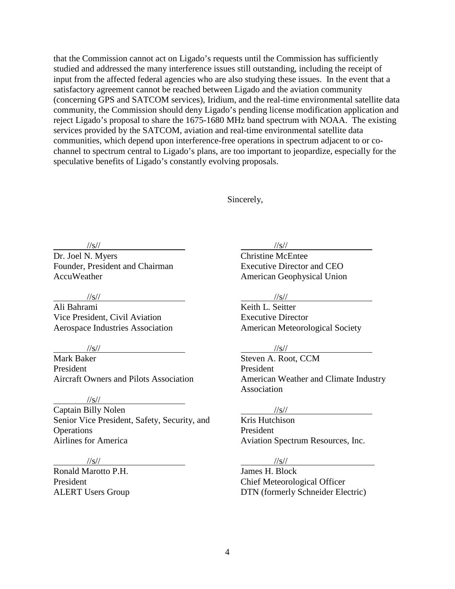that the Commission cannot act on Ligado's requests until the Commission has sufficiently studied and addressed the many interference issues still outstanding, including the receipt of input from the affected federal agencies who are also studying these issues. In the event that a satisfactory agreement cannot be reached between Ligado and the aviation community (concerning GPS and SATCOM services), Iridium, and the real-time environmental satellite data community, the Commission should deny Ligado's pending license modification application and reject Ligado's proposal to share the 1675-1680 MHz band spectrum with NOAA. The existing services provided by the SATCOM, aviation and real-time environmental satellite data communities, which depend upon interference-free operations in spectrum adjacent to or cochannel to spectrum central to Ligado's plans, are too important to jeopardize, especially for the speculative benefits of Ligado's constantly evolving proposals.

Sincerely,

//s//

Dr. Joel N. Myers Founder, President and Chairman AccuWeather

//s//

Ali Bahrami Vice President, Civil Aviation Aerospace Industries Association

#### //s//

Mark Baker President Aircraft Owners and Pilots Association

//s//

Captain Billy Nolen Senior Vice President, Safety, Security, and **Operations** Airlines for America

# $\frac{1}{s}$ //s//

Ronald Marotto P.H. President ALERT Users Group  $\frac{|S|}{|S|}$ 

Christine McEntee Executive Director and CEO American Geophysical Union

#### //s//

Keith L. Seitter Executive Director American Meteorological Society

## //s//

Steven A. Root, CCM President American Weather and Climate Industry Association

#### //s//

Kris Hutchison President Aviation Spectrum Resources, Inc.

## //s//

James H. Block Chief Meteorological Officer DTN (formerly Schneider Electric)